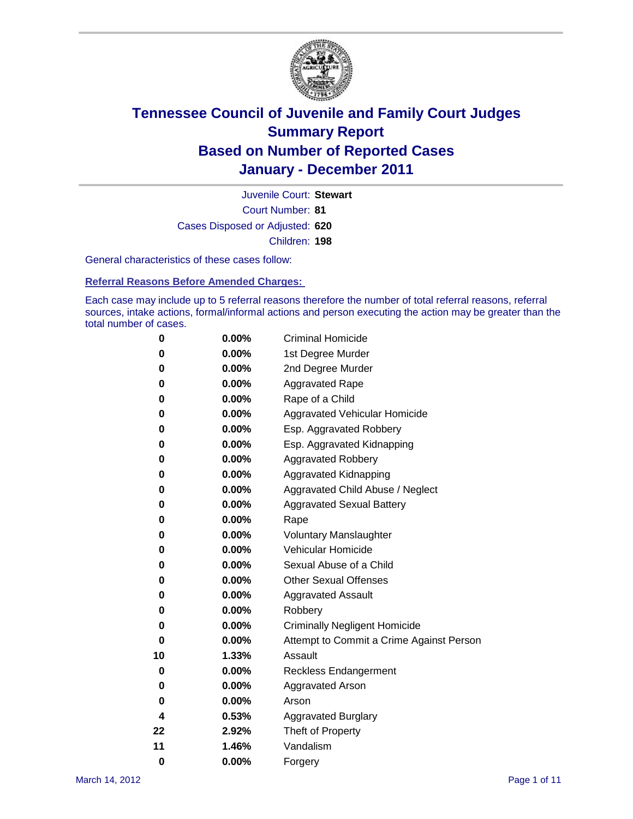

Court Number: **81** Juvenile Court: **Stewart** Cases Disposed or Adjusted: **620** Children: **198**

General characteristics of these cases follow:

**Referral Reasons Before Amended Charges:** 

Each case may include up to 5 referral reasons therefore the number of total referral reasons, referral sources, intake actions, formal/informal actions and person executing the action may be greater than the total number of cases.

| 0  | 0.00%    | <b>Criminal Homicide</b>                 |
|----|----------|------------------------------------------|
| 0  | 0.00%    | 1st Degree Murder                        |
| 0  | 0.00%    | 2nd Degree Murder                        |
| 0  | 0.00%    | <b>Aggravated Rape</b>                   |
| 0  | 0.00%    | Rape of a Child                          |
| 0  | 0.00%    | Aggravated Vehicular Homicide            |
| 0  | 0.00%    | Esp. Aggravated Robbery                  |
| 0  | 0.00%    | Esp. Aggravated Kidnapping               |
| 0  | 0.00%    | <b>Aggravated Robbery</b>                |
| 0  | 0.00%    | Aggravated Kidnapping                    |
| 0  | 0.00%    | Aggravated Child Abuse / Neglect         |
| 0  | 0.00%    | <b>Aggravated Sexual Battery</b>         |
| 0  | 0.00%    | Rape                                     |
| 0  | $0.00\%$ | <b>Voluntary Manslaughter</b>            |
| 0  | 0.00%    | Vehicular Homicide                       |
| 0  | 0.00%    | Sexual Abuse of a Child                  |
| 0  | 0.00%    | <b>Other Sexual Offenses</b>             |
| 0  | 0.00%    | <b>Aggravated Assault</b>                |
| 0  | $0.00\%$ | Robbery                                  |
| 0  | 0.00%    | <b>Criminally Negligent Homicide</b>     |
| 0  | 0.00%    | Attempt to Commit a Crime Against Person |
| 10 | 1.33%    | Assault                                  |
| 0  | 0.00%    | <b>Reckless Endangerment</b>             |
| 0  | 0.00%    | <b>Aggravated Arson</b>                  |
| 0  | 0.00%    | Arson                                    |
| 4  | 0.53%    | <b>Aggravated Burglary</b>               |
| 22 | 2.92%    | Theft of Property                        |
| 11 | 1.46%    | Vandalism                                |
| 0  | 0.00%    | Forgery                                  |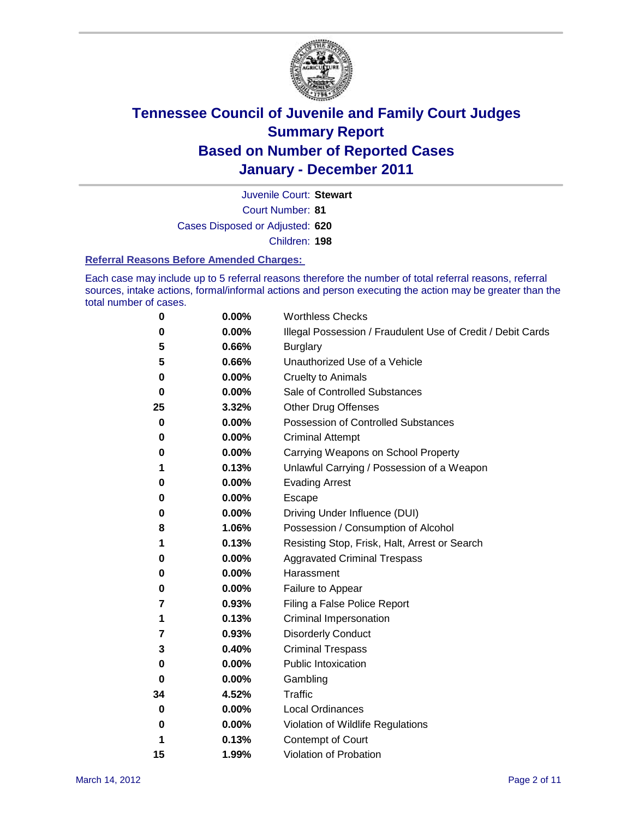

Court Number: **81** Juvenile Court: **Stewart** Cases Disposed or Adjusted: **620**

Children: **198**

### **Referral Reasons Before Amended Charges:**

Each case may include up to 5 referral reasons therefore the number of total referral reasons, referral sources, intake actions, formal/informal actions and person executing the action may be greater than the total number of cases.

| 0  | 0.00% | <b>Worthless Checks</b>                                     |
|----|-------|-------------------------------------------------------------|
| 0  | 0.00% | Illegal Possession / Fraudulent Use of Credit / Debit Cards |
| 5  | 0.66% | <b>Burglary</b>                                             |
| 5  | 0.66% | Unauthorized Use of a Vehicle                               |
| 0  | 0.00% | <b>Cruelty to Animals</b>                                   |
| 0  | 0.00% | Sale of Controlled Substances                               |
| 25 | 3.32% | <b>Other Drug Offenses</b>                                  |
| 0  | 0.00% | Possession of Controlled Substances                         |
| 0  | 0.00% | <b>Criminal Attempt</b>                                     |
| 0  | 0.00% | Carrying Weapons on School Property                         |
| 1  | 0.13% | Unlawful Carrying / Possession of a Weapon                  |
| 0  | 0.00% | <b>Evading Arrest</b>                                       |
| 0  | 0.00% | Escape                                                      |
| 0  | 0.00% | Driving Under Influence (DUI)                               |
| 8  | 1.06% | Possession / Consumption of Alcohol                         |
| 1  | 0.13% | Resisting Stop, Frisk, Halt, Arrest or Search               |
| 0  | 0.00% | <b>Aggravated Criminal Trespass</b>                         |
| 0  | 0.00% | Harassment                                                  |
| 0  | 0.00% | Failure to Appear                                           |
| 7  | 0.93% | Filing a False Police Report                                |
| 1  | 0.13% | Criminal Impersonation                                      |
| 7  | 0.93% | <b>Disorderly Conduct</b>                                   |
| 3  | 0.40% | <b>Criminal Trespass</b>                                    |
| 0  | 0.00% | <b>Public Intoxication</b>                                  |
| 0  | 0.00% | Gambling                                                    |
| 34 | 4.52% | Traffic                                                     |
| 0  | 0.00% | <b>Local Ordinances</b>                                     |
| 0  | 0.00% | Violation of Wildlife Regulations                           |
| 1  | 0.13% | Contempt of Court                                           |
| 15 | 1.99% | Violation of Probation                                      |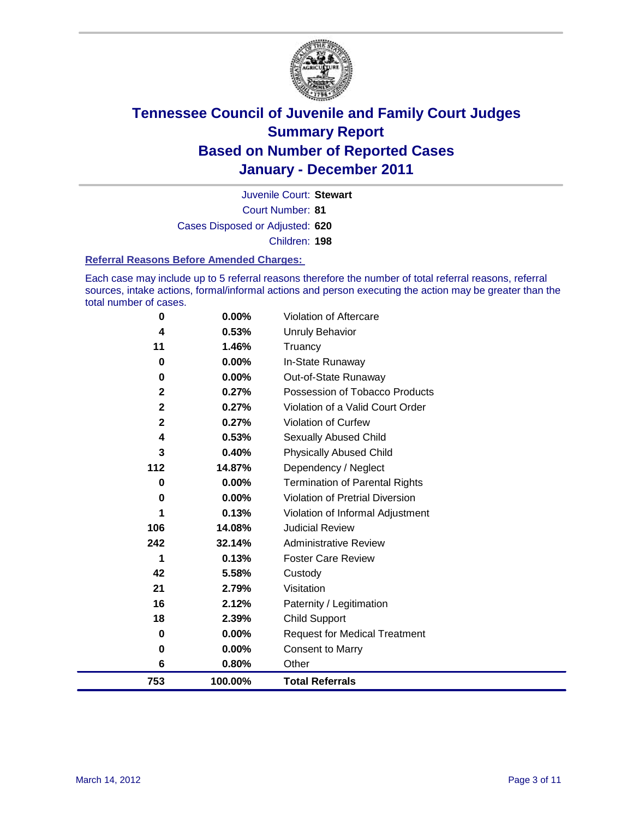

Court Number: **81** Juvenile Court: **Stewart** Cases Disposed or Adjusted: **620** Children: **198**

#### **Referral Reasons Before Amended Charges:**

Each case may include up to 5 referral reasons therefore the number of total referral reasons, referral sources, intake actions, formal/informal actions and person executing the action may be greater than the total number of cases.

| 0           | 0.00%    | Violation of Aftercare                 |
|-------------|----------|----------------------------------------|
| 4           | 0.53%    | <b>Unruly Behavior</b>                 |
| 11          | 1.46%    | Truancy                                |
| $\bf{0}$    | $0.00\%$ | In-State Runaway                       |
| 0           | 0.00%    | Out-of-State Runaway                   |
| $\mathbf 2$ | 0.27%    | Possession of Tobacco Products         |
| $\mathbf 2$ | 0.27%    | Violation of a Valid Court Order       |
| $\mathbf 2$ | 0.27%    | <b>Violation of Curfew</b>             |
| 4           | 0.53%    | Sexually Abused Child                  |
| 3           | 0.40%    | <b>Physically Abused Child</b>         |
| 112         | 14.87%   | Dependency / Neglect                   |
| 0           | 0.00%    | Termination of Parental Rights         |
| 0           | 0.00%    | <b>Violation of Pretrial Diversion</b> |
|             | 0.13%    | Violation of Informal Adjustment       |
| 106         | 14.08%   | <b>Judicial Review</b>                 |
| 242         | 32.14%   | <b>Administrative Review</b>           |
| 1           | 0.13%    | <b>Foster Care Review</b>              |
| 42          | 5.58%    | Custody                                |
| 21          | 2.79%    | Visitation                             |
| 16          | 2.12%    | Paternity / Legitimation               |
| 18          | 2.39%    | <b>Child Support</b>                   |
| 0           | 0.00%    | <b>Request for Medical Treatment</b>   |
| 0           | 0.00%    | <b>Consent to Marry</b>                |
| 6           | 0.80%    | Other                                  |
| 753         | 100.00%  | <b>Total Referrals</b>                 |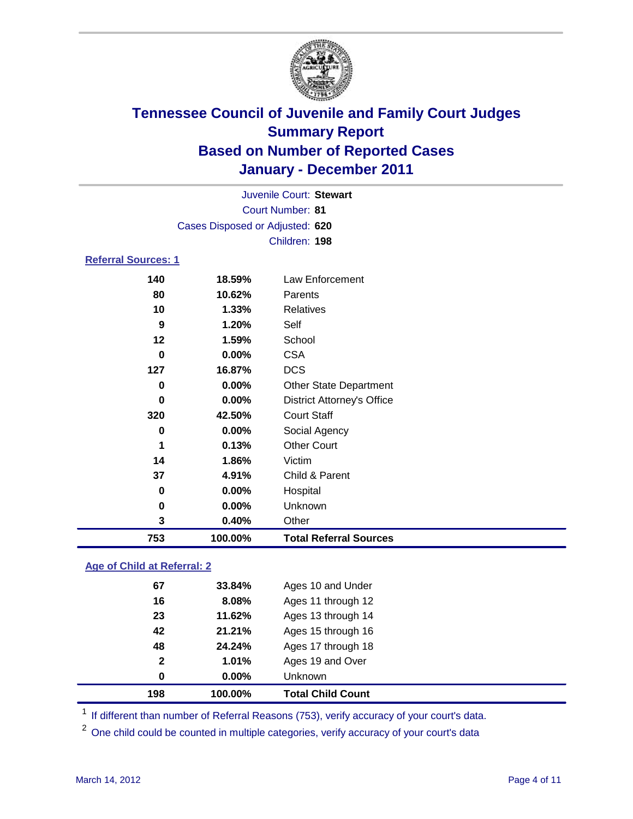

|                                 | Juvenile Court: Stewart |                                   |  |  |  |
|---------------------------------|-------------------------|-----------------------------------|--|--|--|
|                                 | Court Number: 81        |                                   |  |  |  |
| Cases Disposed or Adjusted: 620 |                         |                                   |  |  |  |
|                                 |                         | Children: 198                     |  |  |  |
| <b>Referral Sources: 1</b>      |                         |                                   |  |  |  |
| 140                             | 18.59%                  | Law Enforcement                   |  |  |  |
| 80                              | 10.62%                  | Parents                           |  |  |  |
| 10                              | 1.33%                   | <b>Relatives</b>                  |  |  |  |
| 9                               | 1.20%                   | Self                              |  |  |  |
| $12 \,$                         | 1.59%                   | School                            |  |  |  |
| 0                               | $0.00\%$                | <b>CSA</b>                        |  |  |  |
| 127                             | 16.87%                  | <b>DCS</b>                        |  |  |  |
| 0                               | 0.00%                   | <b>Other State Department</b>     |  |  |  |
| 0                               | 0.00%                   | <b>District Attorney's Office</b> |  |  |  |
| 320                             | 42.50%                  | <b>Court Staff</b>                |  |  |  |
| 0                               | $0.00\%$                | Social Agency                     |  |  |  |
| 1                               | 0.13%                   | <b>Other Court</b>                |  |  |  |
| 14                              | 1.86%                   | Victim                            |  |  |  |
| 37                              | 4.91%                   | Child & Parent                    |  |  |  |
| 0                               | 0.00%                   | Hospital                          |  |  |  |
| 0                               | 0.00%                   | Unknown                           |  |  |  |
| 3                               | 0.40%                   | Other                             |  |  |  |
| 753                             | 100.00%                 | <b>Total Referral Sources</b>     |  |  |  |
|                                 |                         |                                   |  |  |  |

### **Age of Child at Referral: 2**

| 100.00%  | <b>Total Child Count</b> |
|----------|--------------------------|
| $0.00\%$ | Unknown                  |
| 1.01%    | Ages 19 and Over         |
| 24.24%   | Ages 17 through 18       |
| 21.21%   | Ages 15 through 16       |
| 11.62%   | Ages 13 through 14       |
| 8.08%    | Ages 11 through 12       |
| 33.84%   | Ages 10 and Under        |
|          |                          |

<sup>1</sup> If different than number of Referral Reasons (753), verify accuracy of your court's data.

<sup>2</sup> One child could be counted in multiple categories, verify accuracy of your court's data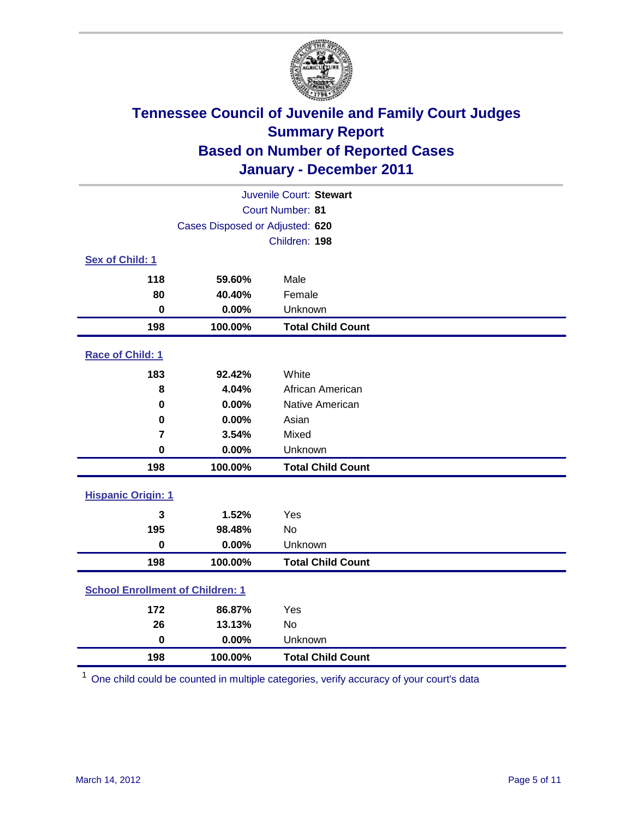

| Juvenile Court: Stewart                 |                                 |                          |  |  |
|-----------------------------------------|---------------------------------|--------------------------|--|--|
| Court Number: 81                        |                                 |                          |  |  |
|                                         | Cases Disposed or Adjusted: 620 |                          |  |  |
|                                         |                                 | Children: 198            |  |  |
| Sex of Child: 1                         |                                 |                          |  |  |
| 118                                     | 59.60%                          | Male                     |  |  |
| 80                                      | 40.40%                          | Female                   |  |  |
| $\mathbf 0$                             | 0.00%                           | Unknown                  |  |  |
| 198                                     | 100.00%                         | <b>Total Child Count</b> |  |  |
| Race of Child: 1                        |                                 |                          |  |  |
| 183                                     | 92.42%                          | White                    |  |  |
| 8                                       | 4.04%                           | African American         |  |  |
| 0                                       | 0.00%                           | Native American          |  |  |
| $\pmb{0}$                               | 0.00%                           | Asian                    |  |  |
| $\overline{7}$                          | 3.54%                           | Mixed                    |  |  |
| $\pmb{0}$                               | 0.00%                           | Unknown                  |  |  |
| 198                                     | 100.00%                         | <b>Total Child Count</b> |  |  |
| <b>Hispanic Origin: 1</b>               |                                 |                          |  |  |
| 3                                       | 1.52%                           | Yes                      |  |  |
| 195                                     | 98.48%                          | <b>No</b>                |  |  |
| $\mathbf 0$                             | 0.00%                           | Unknown                  |  |  |
| 198                                     | 100.00%                         | <b>Total Child Count</b> |  |  |
| <b>School Enrollment of Children: 1</b> |                                 |                          |  |  |
| 172                                     | 86.87%                          | Yes                      |  |  |
| 26                                      | 13.13%                          | No                       |  |  |
| $\mathbf 0$                             | 0.00%                           | Unknown                  |  |  |
| 198                                     | 100.00%                         | <b>Total Child Count</b> |  |  |

One child could be counted in multiple categories, verify accuracy of your court's data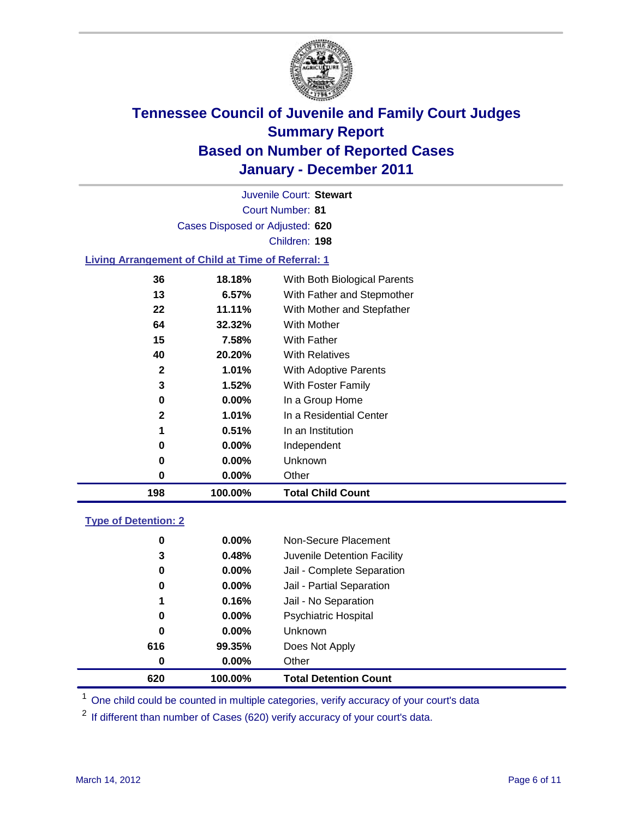

Court Number: **81** Juvenile Court: **Stewart** Cases Disposed or Adjusted: **620** Children: **198**

### **Living Arrangement of Child at Time of Referral: 1**

| 198 | 100.00%  | <b>Total Child Count</b>     |
|-----|----------|------------------------------|
| 0   | 0.00%    | Other                        |
| 0   | 0.00%    | Unknown                      |
| 0   | $0.00\%$ | Independent                  |
| 1   | 0.51%    | In an Institution            |
| 2   | 1.01%    | In a Residential Center      |
| 0   | 0.00%    | In a Group Home              |
| 3   | 1.52%    | With Foster Family           |
| 2   | 1.01%    | With Adoptive Parents        |
| 40  | 20.20%   | <b>With Relatives</b>        |
| 15  | 7.58%    | With Father                  |
| 64  | 32.32%   | With Mother                  |
| 22  | 11.11%   | With Mother and Stepfather   |
| 13  | 6.57%    | With Father and Stepmother   |
| 36  | 18.18%   | With Both Biological Parents |

#### **Type of Detention: 2**

| 620 | 100.00%  | <b>Total Detention Count</b> |  |
|-----|----------|------------------------------|--|
| 0   | 0.00%    | Other                        |  |
| 616 | 99.35%   | Does Not Apply               |  |
| 0   | $0.00\%$ | Unknown                      |  |
| 0   | $0.00\%$ | Psychiatric Hospital         |  |
| 1   | 0.16%    | Jail - No Separation         |  |
| 0   | $0.00\%$ | Jail - Partial Separation    |  |
| 0   | 0.00%    | Jail - Complete Separation   |  |
| 3   | 0.48%    | Juvenile Detention Facility  |  |
| 0   | $0.00\%$ | Non-Secure Placement         |  |
|     |          |                              |  |

<sup>1</sup> One child could be counted in multiple categories, verify accuracy of your court's data

<sup>2</sup> If different than number of Cases (620) verify accuracy of your court's data.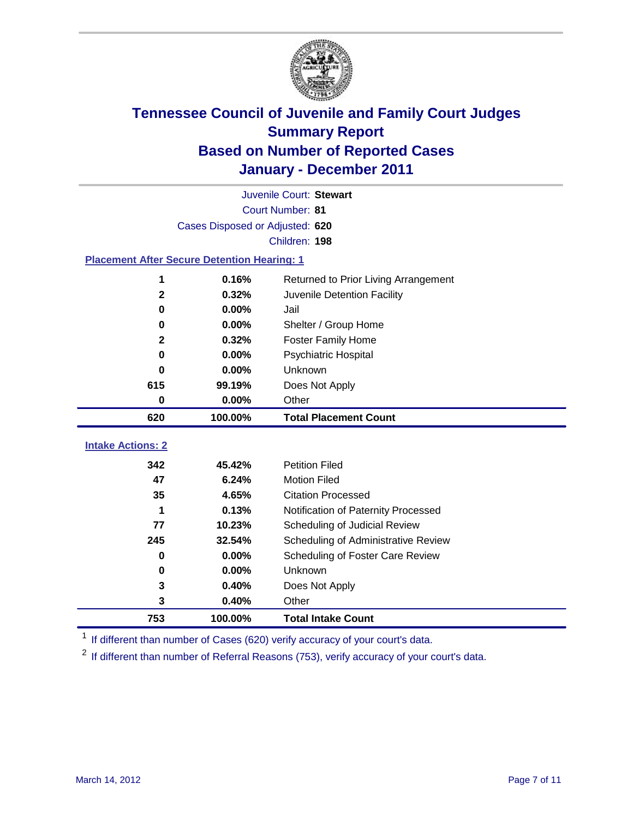

|                          | Juvenile Court: Stewart                            |                                      |  |  |  |  |  |
|--------------------------|----------------------------------------------------|--------------------------------------|--|--|--|--|--|
|                          | Court Number: 81                                   |                                      |  |  |  |  |  |
|                          | Cases Disposed or Adjusted: 620                    |                                      |  |  |  |  |  |
|                          | Children: 198                                      |                                      |  |  |  |  |  |
|                          | <b>Placement After Secure Detention Hearing: 1</b> |                                      |  |  |  |  |  |
| 1                        | 0.16%                                              | Returned to Prior Living Arrangement |  |  |  |  |  |
| $\mathbf{2}$             | 0.32%                                              | Juvenile Detention Facility          |  |  |  |  |  |
| $\mathbf 0$              | 0.00%                                              | Jail                                 |  |  |  |  |  |
| $\bf{0}$                 | 0.00%                                              | Shelter / Group Home                 |  |  |  |  |  |
| $\mathbf 2$              | 0.32%                                              | <b>Foster Family Home</b>            |  |  |  |  |  |
| $\bf{0}$                 | 0.00%                                              | <b>Psychiatric Hospital</b>          |  |  |  |  |  |
| 0                        | 0.00%                                              | Unknown                              |  |  |  |  |  |
| 615                      | 99.19%                                             | Does Not Apply                       |  |  |  |  |  |
| $\mathbf 0$              | 0.00%                                              | Other                                |  |  |  |  |  |
| 620                      | 100.00%                                            | <b>Total Placement Count</b>         |  |  |  |  |  |
| <b>Intake Actions: 2</b> |                                                    |                                      |  |  |  |  |  |
|                          |                                                    |                                      |  |  |  |  |  |
| 342                      | 45.42%                                             | <b>Petition Filed</b>                |  |  |  |  |  |
| 47                       | 6.24%                                              | <b>Motion Filed</b>                  |  |  |  |  |  |
| 35                       | 4.65%                                              | <b>Citation Processed</b>            |  |  |  |  |  |
| 1                        | 0.13%                                              | Notification of Paternity Processed  |  |  |  |  |  |
| 77                       | 10.23%                                             | Scheduling of Judicial Review        |  |  |  |  |  |
| 245                      | 32.54%                                             | Scheduling of Administrative Review  |  |  |  |  |  |
| 0                        | 0.00%                                              | Scheduling of Foster Care Review     |  |  |  |  |  |
| 0                        | 0.00%                                              | Unknown                              |  |  |  |  |  |
| 3                        | 0.40%                                              | Does Not Apply                       |  |  |  |  |  |
| 3                        | 0.40%                                              | Other                                |  |  |  |  |  |
| 753                      | 100.00%                                            | <b>Total Intake Count</b>            |  |  |  |  |  |

<sup>1</sup> If different than number of Cases (620) verify accuracy of your court's data.

<sup>2</sup> If different than number of Referral Reasons (753), verify accuracy of your court's data.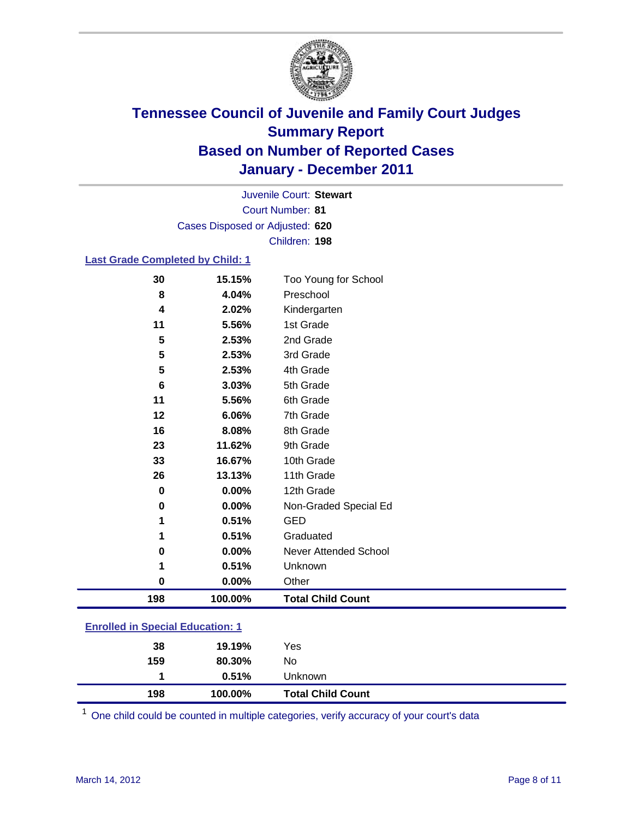

Court Number: **81** Juvenile Court: **Stewart** Cases Disposed or Adjusted: **620** Children: **198**

### **Last Grade Completed by Child: 1**

| 30<br>8        | 15.15%<br>4.04% | Too Young for School<br>Preschool |
|----------------|-----------------|-----------------------------------|
| 4              | 2.02%           |                                   |
|                |                 | Kindergarten                      |
| 11             | 5.56%           | 1st Grade                         |
| 5              | 2.53%           | 2nd Grade                         |
| 5              | 2.53%           | 3rd Grade                         |
| 5              | 2.53%           | 4th Grade                         |
| $6\phantom{1}$ | 3.03%           | 5th Grade                         |
| 11             | 5.56%           | 6th Grade                         |
| 12             | 6.06%           | 7th Grade                         |
| 16             | 8.08%           | 8th Grade                         |
| 23             | 11.62%          | 9th Grade                         |
| 33             | 16.67%          | 10th Grade                        |
| 26             | 13.13%          | 11th Grade                        |
| $\mathbf 0$    | 0.00%           | 12th Grade                        |
| $\mathbf 0$    | 0.00%           | Non-Graded Special Ed             |
| 1              | 0.51%           | <b>GED</b>                        |
| 1              | 0.51%           | Graduated                         |
| $\mathbf 0$    | 0.00%           | Never Attended School             |
| 1              | 0.51%           | Unknown                           |
| 0              | $0.00\%$        | Other                             |
| 198            | 100.00%         | <b>Total Child Count</b>          |

| <b>Enrolled in Special Education: 1</b> |  |
|-----------------------------------------|--|
|-----------------------------------------|--|

| 198 | 100.00% | <b>Total Child Count</b> |
|-----|---------|--------------------------|
|     | 0.51%   | <b>Unknown</b>           |
| 159 | 80.30%  | No                       |
| 38  | 19.19%  | Yes                      |
|     |         |                          |

One child could be counted in multiple categories, verify accuracy of your court's data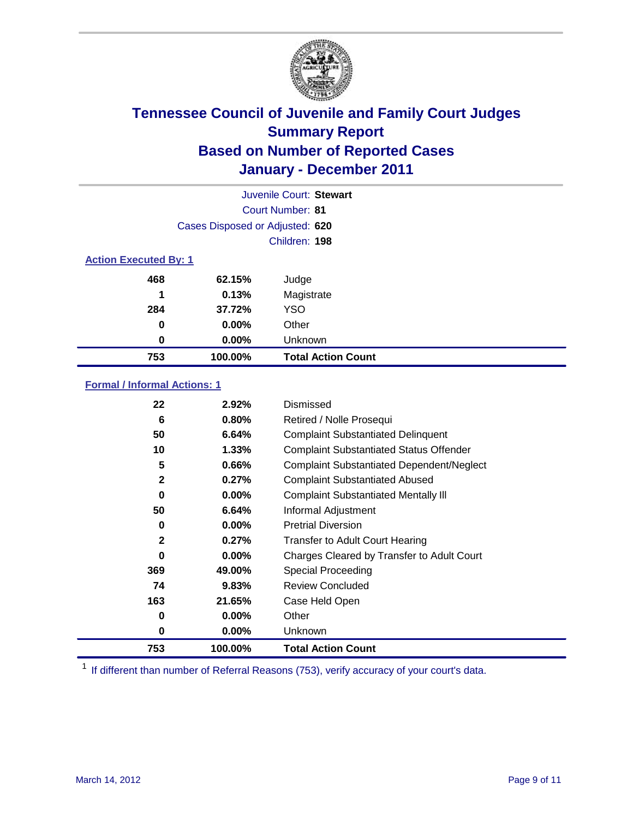

|                              |                                 | Juvenile Court: Stewart   |
|------------------------------|---------------------------------|---------------------------|
|                              |                                 | Court Number: 81          |
|                              | Cases Disposed or Adjusted: 620 |                           |
|                              |                                 | Children: 198             |
| <b>Action Executed By: 1</b> |                                 |                           |
| 468                          | 62.15%                          | Judge                     |
| 1                            | 0.13%                           | Magistrate                |
| 284                          | 37.72%                          | <b>YSO</b>                |
| 0                            | 0.00%                           | Other                     |
| 0                            | 0.00%                           | Unknown                   |
| 753                          | 100.00%                         | <b>Total Action Count</b> |

### **Formal / Informal Actions: 1**

| 22           | 2.92%    | Dismissed                                        |
|--------------|----------|--------------------------------------------------|
| 6            | 0.80%    | Retired / Nolle Prosequi                         |
| 50           | 6.64%    | <b>Complaint Substantiated Delinquent</b>        |
| 10           | 1.33%    | <b>Complaint Substantiated Status Offender</b>   |
| 5            | 0.66%    | <b>Complaint Substantiated Dependent/Neglect</b> |
| $\mathbf{2}$ | 0.27%    | <b>Complaint Substantiated Abused</b>            |
| $\bf{0}$     | $0.00\%$ | <b>Complaint Substantiated Mentally III</b>      |
| 50           | 6.64%    | Informal Adjustment                              |
| 0            | $0.00\%$ | <b>Pretrial Diversion</b>                        |
| $\mathbf{2}$ | 0.27%    | <b>Transfer to Adult Court Hearing</b>           |
| 0            | $0.00\%$ | Charges Cleared by Transfer to Adult Court       |
| 369          | 49.00%   | Special Proceeding                               |
| 74           | 9.83%    | <b>Review Concluded</b>                          |
| 163          | 21.65%   | Case Held Open                                   |
| 0            | $0.00\%$ | Other                                            |
| 0            | $0.00\%$ | Unknown                                          |
| 753          | 100.00%  | <b>Total Action Count</b>                        |

<sup>1</sup> If different than number of Referral Reasons (753), verify accuracy of your court's data.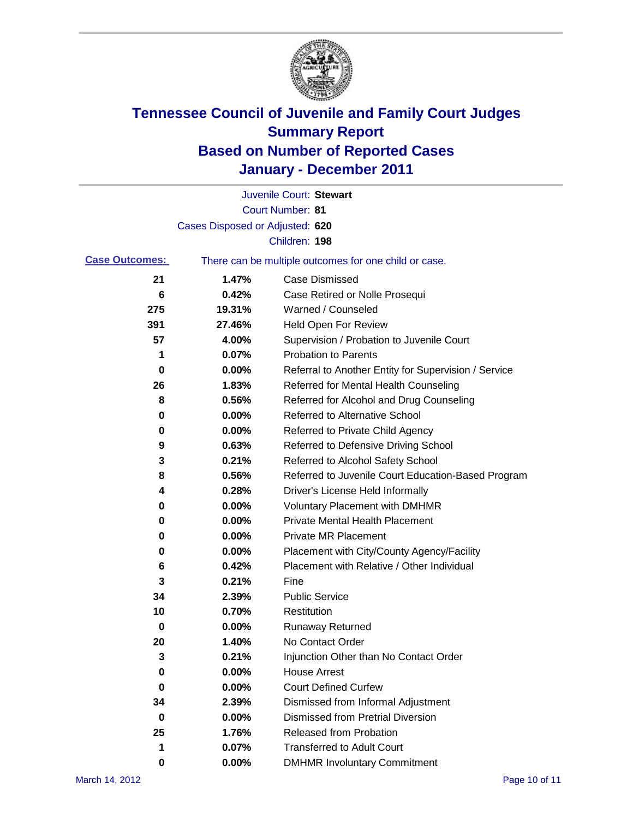

|                       |                                 | Juvenile Court: Stewart                               |
|-----------------------|---------------------------------|-------------------------------------------------------|
|                       |                                 | <b>Court Number: 81</b>                               |
|                       | Cases Disposed or Adjusted: 620 |                                                       |
|                       |                                 | Children: 198                                         |
| <b>Case Outcomes:</b> |                                 | There can be multiple outcomes for one child or case. |
| 21                    | 1.47%                           | <b>Case Dismissed</b>                                 |
| 6                     | 0.42%                           | Case Retired or Nolle Prosequi                        |
| 275                   | 19.31%                          | Warned / Counseled                                    |
| 391                   | 27.46%                          | <b>Held Open For Review</b>                           |
| 57                    | 4.00%                           | Supervision / Probation to Juvenile Court             |
| 1                     | 0.07%                           | <b>Probation to Parents</b>                           |
| 0                     | 0.00%                           | Referral to Another Entity for Supervision / Service  |
| 26                    | 1.83%                           | Referred for Mental Health Counseling                 |
| 8                     | 0.56%                           | Referred for Alcohol and Drug Counseling              |
| 0                     | 0.00%                           | <b>Referred to Alternative School</b>                 |
| 0                     | 0.00%                           | Referred to Private Child Agency                      |
| 9                     | 0.63%                           | Referred to Defensive Driving School                  |
| 3                     | 0.21%                           | Referred to Alcohol Safety School                     |
| 8                     | 0.56%                           | Referred to Juvenile Court Education-Based Program    |
| 4                     | 0.28%                           | Driver's License Held Informally                      |
| 0                     | 0.00%                           | <b>Voluntary Placement with DMHMR</b>                 |
| 0                     | 0.00%                           | <b>Private Mental Health Placement</b>                |
| 0                     | 0.00%                           | <b>Private MR Placement</b>                           |
| 0                     | 0.00%                           | Placement with City/County Agency/Facility            |
| 6                     | 0.42%                           | Placement with Relative / Other Individual            |
| 3                     | 0.21%                           | Fine                                                  |
| 34                    | 2.39%                           | <b>Public Service</b>                                 |
| 10                    | 0.70%                           | Restitution                                           |
| 0                     | 0.00%                           | <b>Runaway Returned</b>                               |
| 20                    | 1.40%                           | No Contact Order                                      |
| 3                     | 0.21%                           | Injunction Other than No Contact Order                |
| 0                     | 0.00%                           | <b>House Arrest</b>                                   |
| 0                     | 0.00%                           | <b>Court Defined Curfew</b>                           |
| 34                    | 2.39%                           | Dismissed from Informal Adjustment                    |
| 0                     | 0.00%                           | <b>Dismissed from Pretrial Diversion</b>              |
| 25                    | 1.76%                           | Released from Probation                               |
| 1                     | 0.07%                           | <b>Transferred to Adult Court</b>                     |
| 0                     | $0.00\%$                        | <b>DMHMR Involuntary Commitment</b>                   |